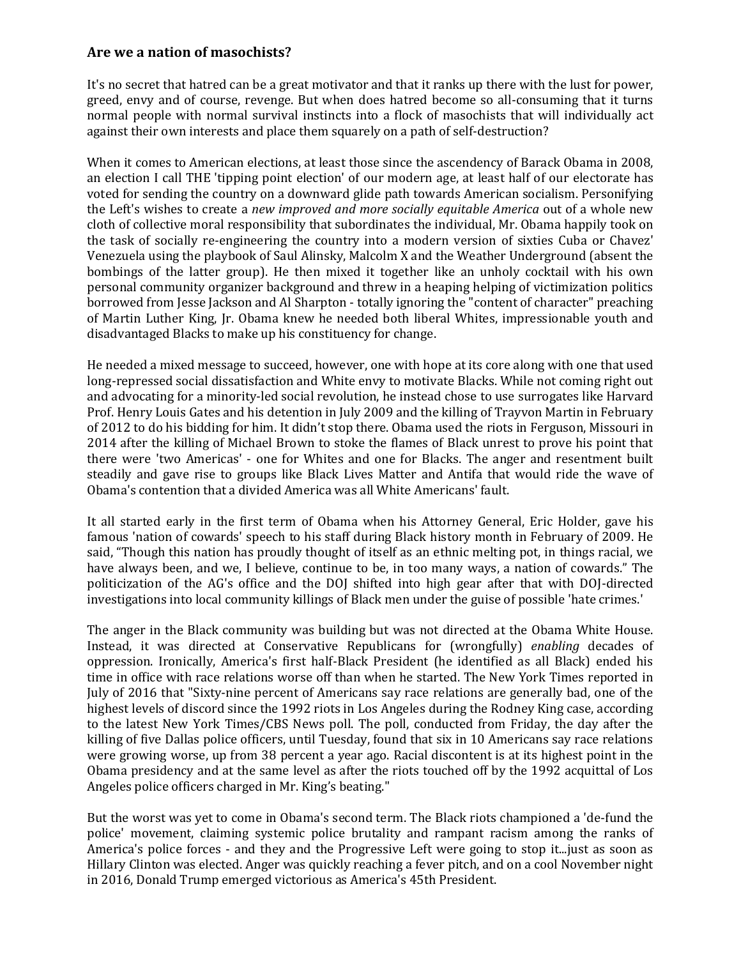## **Are we a nation of masochists?**

It's no secret that hatred can be a great motivator and that it ranks up there with the lust for power, greed, envy and of course, revenge. But when does hatred become so all-consuming that it turns normal people with normal survival instincts into a flock of masochists that will individually act against their own interests and place them squarely on a path of self-destruction?

When it comes to American elections, at least those since the ascendency of Barack Obama in 2008, an election I call THE 'tipping point election' of our modern age, at least half of our electorate has voted for sending the country on a downward glide path towards American socialism. Personifying the Left's wishes to create a *new improved and more socially equitable America* out of a whole new cloth of collective moral responsibility that subordinates the individual, Mr. Obama happily took on the task of socially re-engineering the country into a modern version of sixties Cuba or Chavez' Venezuela using the playbook of Saul Alinsky, Malcolm X and the Weather Underground (absent the bombings of the latter group). He then mixed it together like an unholy cocktail with his own personal community organizer background and threw in a heaping helping of victimization politics borrowed from Jesse Jackson and Al Sharpton - totally ignoring the "content of character" preaching of Martin Luther King, Jr. Obama knew he needed both liberal Whites, impressionable youth and disadvantaged Blacks to make up his constituency for change.

He needed a mixed message to succeed, however, one with hope at its core along with one that used long-repressed social dissatisfaction and White envy to motivate Blacks. While not coming right out and advocating for a minority-led social revolution, he instead chose to use surrogates like Harvard Prof. Henry Louis Gates and his detention in July 2009 and the killing of Trayvon Martin in February of 2012 to do his bidding for him. It didn't stop there. Obama used the riots in Ferguson, Missouri in 2014 after the killing of Michael Brown to stoke the flames of Black unrest to prove his point that there were 'two Americas' - one for Whites and one for Blacks. The anger and resentment built steadily and gave rise to groups like Black Lives Matter and Antifa that would ride the wave of Obama's contention that a divided America was all White Americans' fault.

It all started early in the first term of Obama when his Attorney General, Eric Holder, gave his famous 'nation of cowards' speech to his staff during Black history month in February of 2009. He said, "Though this nation has proudly thought of itself as an ethnic melting pot, in things racial, we have always been, and we, I believe, continue to be, in too many ways, a nation of cowards." The politicization of the AG's office and the DOJ shifted into high gear after that with DOJ-directed investigations into local community killings of Black men under the guise of possible 'hate crimes.'

The anger in the Black community was building but was not directed at the Obama White House. Instead, it was directed at Conservative Republicans for (wrongfully) *enabling* decades of oppression. Ironically, America's first half-Black President (he identified as all Black) ended his time in office with race relations worse off than when he started. The New York Times reported in July of 2016 that "Sixty-nine percent of Americans say race relations are generally bad, one of the highest levels of discord since the 1992 riots in Los Angeles during the Rodney King case, according to the latest New York Times/CBS News poll. The poll, conducted from Friday, the day after the killing of five Dallas police officers, until Tuesday, found that six in 10 Americans say race relations were growing worse, up from 38 percent a year ago. Racial discontent is at its highest point in the Obama presidency and at the same level as after the riots touched off by the 1992 acquittal of Los Angeles police officers charged in Mr. King's beating."

But the worst was yet to come in Obama's second term. The Black riots championed a 'de-fund the police' movement, claiming systemic police brutality and rampant racism among the ranks of America's police forces - and they and the Progressive Left were going to stop it...just as soon as Hillary Clinton was elected. Anger was quickly reaching a fever pitch, and on a cool November night in 2016, Donald Trump emerged victorious as America's 45th President.